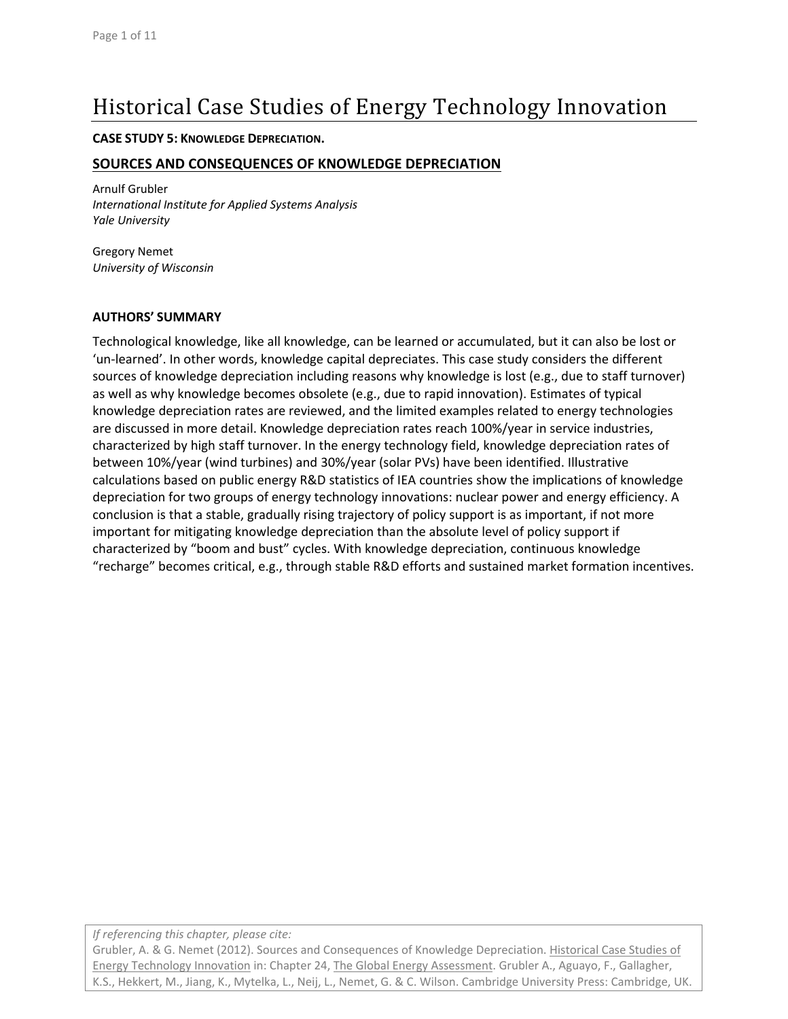# Historical Case Studies of Energy Technology Innovation

### **CASE STUDY 5: KNOWLEDGE DEPRECIATION.**

### **SOURCES AND CONSEQUENCES OF KNOWLEDGE DEPRECIATION**

Arnulf Grubler *International Institute for Applied Systems Analysis Yale University*

Gregory Nemet *University of Wisconsin*

### **AUTHORS' SUMMARY**

Technological knowledge, like all knowledge, can be learned or accumulated, but it can also be lost or 'un‐learned'. In other words, knowledge capital depreciates. This case study considers the different sources of knowledge depreciation including reasons why knowledge is lost (e.g., due to staff turnover) as well as why knowledge becomes obsolete (e.g., due to rapid innovation). Estimates of typical knowledge depreciation rates are reviewed, and the limited examples related to energy technologies are discussed in more detail. Knowledge depreciation rates reach 100%/year in service industries, characterized by high staff turnover. In the energy technology field, knowledge depreciation rates of between 10%/year (wind turbines) and 30%/year (solar PVs) have been identified. Illustrative calculations based on public energy R&D statistics of IEA countries show the implications of knowledge depreciation for two groups of energy technology innovations: nuclear power and energy efficiency. A conclusion is that a stable, gradually rising trajectory of policy support is as important, if not more important for mitigating knowledge depreciation than the absolute level of policy support if characterized by "boom and bust" cycles. With knowledge depreciation, continuous knowledge "recharge" becomes critical, e.g., through stable R&D efforts and sustained market formation incentives.

*If referencing this chapter, please cite:*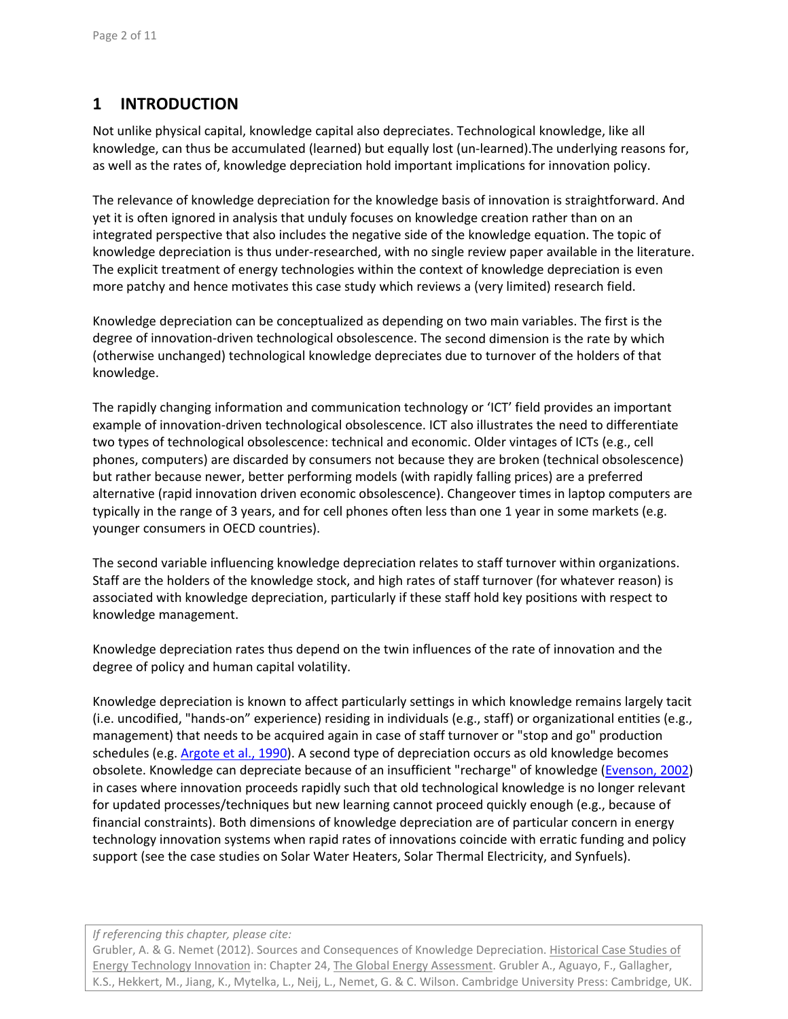# **1 INTRODUCTION**

Not unlike physical capital, knowledge capital also depreciates. Technological knowledge, like all knowledge, can thus be accumulated (learned) but equally lost (un-learned). The underlying reasons for, as well as the rates of, knowledge depreciation hold important implications for innovation policy.

The relevance of knowledge depreciation for the knowledge basis of innovation is straightforward. And yet it is often ignored in analysis that unduly focuses on knowledge creation rather than on an integrated perspective that also includes the negative side of the knowledge equation. The topic of knowledge depreciation is thus under‐researched, with no single review paper available in the literature. The explicit treatment of energy technologies within the context of knowledge depreciation is even more patchy and hence motivates this case study which reviews a (very limited) research field.

Knowledge depreciation can be conceptualized as depending on two main variables. The first is the degree of innovation-driven technological obsolescence. The second dimension is the rate by which (otherwise unchanged) technological knowledge depreciates due to turnover of the holders of that knowledge.

The rapidly changing information and communication technology or 'ICT' field provides an important example of innovation‐driven technological obsolescence. ICT also illustrates the need to differentiate two types of technological obsolescence: technical and economic. Older vintages of ICTs (e.g., cell phones, computers) are discarded by consumers not because they are broken (technical obsolescence) but rather because newer, better performing models (with rapidly falling prices) are a preferred alternative (rapid innovation driven economic obsolescence). Changeover times in laptop computers are typically in the range of 3 years, and for cell phones often less than one 1 year in some markets (e.g. younger consumers in OECD countries).

The second variable influencing knowledge depreciation relates to staff turnover within organizations. Staff are the holders of the knowledge stock, and high rates of staff turnover (for whatever reason) is associated with knowledge depreciation, particularly if these staff hold key positions with respect to knowledge management.

Knowledge depreciation rates thus depend on the twin influences of the rate of innovation and the degree of policy and human capital volatility.

Knowledge depreciation is known to affect particularly settings in which knowledge remains largely tacit (i.e. uncodified, "hands‐on" experience) residing in individuals (e.g., staff) or organizational entities (e.g., management) that needs to be acquired again in case of staff turnover or "stop and go" production schedules (e.g. Argote et al., 1990). A second type of depreciation occurs as old knowledge becomes obsolete. Knowledge can depreciate because of an insufficient "recharge" of knowledge (Evenson, 2002) in cases where innovation proceeds rapidly such that old technological knowledge is no longer relevant for updated processes/techniques but new learning cannot proceed quickly enough (e.g., because of financial constraints). Both dimensions of knowledge depreciation are of particular concern in energy technology innovation systems when rapid rates of innovations coincide with erratic funding and policy support (see the case studies on Solar Water Heaters, Solar Thermal Electricity, and Synfuels).

### *If referencing this chapter, please cite:*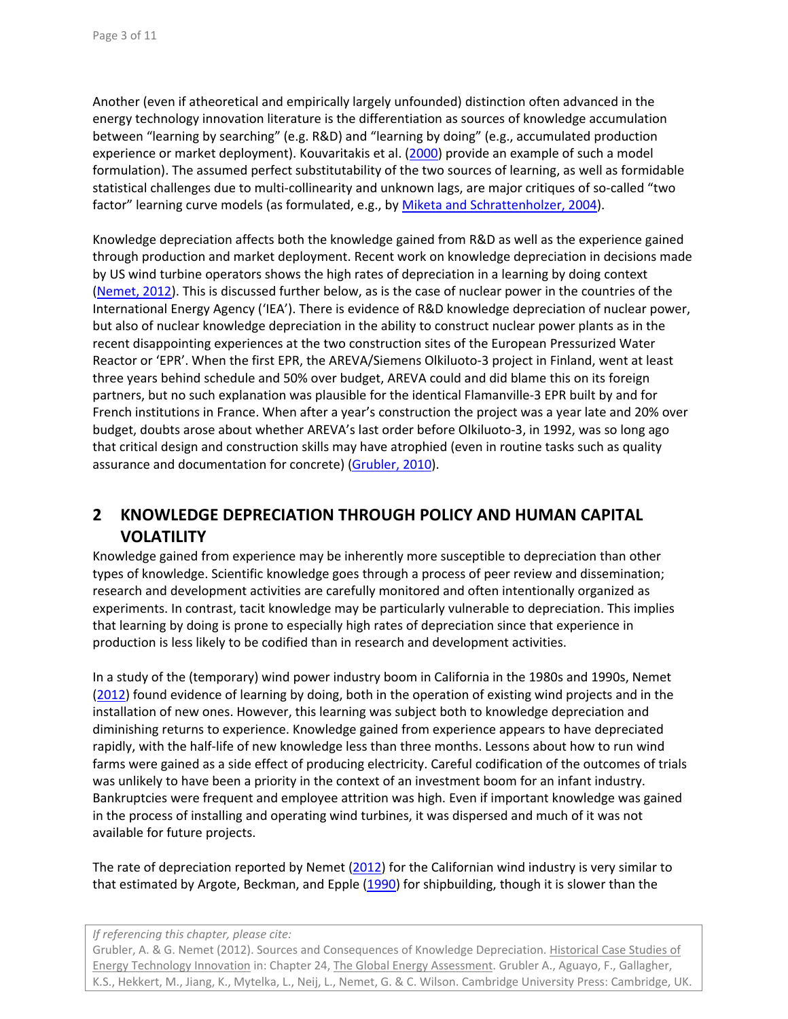Another (even if atheoretical and empirically largely unfounded) distinction often advanced in the energy technology innovation literature is the differentiation as sources of knowledge accumulation between "learning by searching" (e.g. R&D) and "learning by doing" (e.g., accumulated production experience or market deployment). Kouvaritakis et al. (2000) provide an example of such a model formulation). The assumed perfect substitutability of the two sources of learning, as well as formidable statistical challenges due to multi‐collinearity and unknown lags, are major critiques of so‐called "two factor" learning curve models (as formulated, e.g., by Miketa and Schrattenholzer, 2004).

Knowledge depreciation affects both the knowledge gained from R&D as well as the experience gained through production and market deployment. Recent work on knowledge depreciation in decisions made by US wind turbine operators shows the high rates of depreciation in a learning by doing context (Nemet, 2012). This is discussed further below, as is the case of nuclear power in the countries of the International Energy Agency ('IEA'). There is evidence of R&D knowledge depreciation of nuclear power, but also of nuclear knowledge depreciation in the ability to construct nuclear power plants as in the recent disappointing experiences at the two construction sites of the European Pressurized Water Reactor or 'EPR'. When the first EPR, the AREVA/Siemens Olkiluoto‐3 project in Finland, went at least three years behind schedule and 50% over budget, AREVA could and did blame this on its foreign partners, but no such explanation was plausible for the identical Flamanville‐3 EPR built by and for French institutions in France. When after a year's construction the project was a year late and 20% over budget, doubts arose about whether AREVA's last order before Olkiluoto‐3, in 1992, was so long ago that critical design and construction skills may have atrophied (even in routine tasks such as quality assurance and documentation for concrete) (Grubler, 2010).

# **2 KNOWLEDGE DEPRECIATION THROUGH POLICY AND HUMAN CAPITAL VOLATILITY**

Knowledge gained from experience may be inherently more susceptible to depreciation than other types of knowledge. Scientific knowledge goes through a process of peer review and dissemination; research and development activities are carefully monitored and often intentionally organized as experiments. In contrast, tacit knowledge may be particularly vulnerable to depreciation. This implies that learning by doing is prone to especially high rates of depreciation since that experience in production is less likely to be codified than in research and development activities.

In a study of the (temporary) wind power industry boom in California in the 1980s and 1990s, Nemet (2012) found evidence of learning by doing, both in the operation of existing wind projects and in the installation of new ones. However, this learning was subject both to knowledge depreciation and diminishing returns to experience. Knowledge gained from experience appears to have depreciated rapidly, with the half-life of new knowledge less than three months. Lessons about how to run wind farms were gained as a side effect of producing electricity. Careful codification of the outcomes of trials was unlikely to have been a priority in the context of an investment boom for an infant industry. Bankruptcies were frequent and employee attrition was high. Even if important knowledge was gained in the process of installing and operating wind turbines, it was dispersed and much of it was not available for future projects.

The rate of depreciation reported by Nemet (2012) for the Californian wind industry is very similar to that estimated by Argote, Beckman, and Epple (1990) for shipbuilding, though it is slower than the

### *If referencing this chapter, please cite:*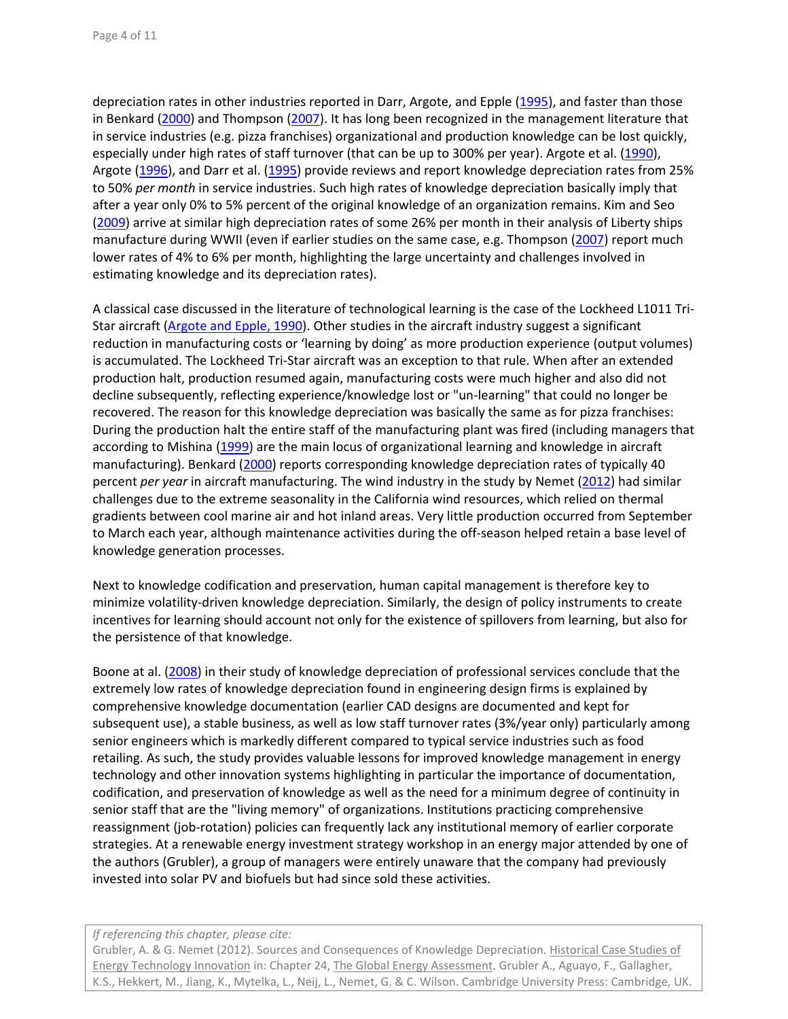depreciation rates in other industries reported in Darr, Argote, and Epple (1995), and faster than those in Benkard (2000) and Thompson (2007). It has long been recognized in the management literature that in service industries (e.g. pizza franchises) organizational and production knowledge can be lost quickly, especially under high rates of staff turnover (that can be up to 300% per year). Argote et al. (1990), Argote (1996), and Darr et al. (1995) provide reviews and report knowledge depreciation rates from 25% to 50% *per month* in service industries. Such high rates of knowledge depreciation basically imply that after a year only 0% to 5% percent of the original knowledge of an organization remains. Kim and Seo (2009) arrive at similar high depreciation rates of some 26% per month in their analysis of Liberty ships manufacture during WWII (even if earlier studies on the same case, e.g. Thompson (2007) report much lower rates of 4% to 6% per month, highlighting the large uncertainty and challenges involved in estimating knowledge and its depreciation rates).

A classical case discussed in the literature of technological learning is the case of the Lockheed L1011 Tri‐ Star aircraft (Argote and Epple, 1990). Other studies in the aircraft industry suggest a significant reduction in manufacturing costs or 'learning by doing' as more production experience (output volumes) is accumulated. The Lockheed Tri‐Star aircraft was an exception to that rule. When after an extended production halt, production resumed again, manufacturing costs were much higher and also did not decline subsequently, reflecting experience/knowledge lost or "un‐learning" that could no longer be recovered. The reason for this knowledge depreciation was basically the same as for pizza franchises: During the production halt the entire staff of the manufacturing plant was fired (including managers that according to Mishina (1999) are the main locus of organizational learning and knowledge in aircraft manufacturing). Benkard (2000) reports corresponding knowledge depreciation rates of typically 40 percent *per year* in aircraft manufacturing. The wind industry in the study by Nemet (2012) had similar challenges due to the extreme seasonality in the California wind resources, which relied on thermal gradients between cool marine air and hot inland areas. Very little production occurred from September to March each year, although maintenance activities during the off‐season helped retain a base level of knowledge generation processes.

Next to knowledge codification and preservation, human capital management is therefore key to minimize volatility‐driven knowledge depreciation. Similarly, the design of policy instruments to create incentives for learning should account not only for the existence of spillovers from learning, but also for the persistence of that knowledge.

Boone at al. (2008) in their study of knowledge depreciation of professional services conclude that the extremely low rates of knowledge depreciation found in engineering design firms is explained by comprehensive knowledge documentation (earlier CAD designs are documented and kept for subsequent use), a stable business, as well as low staff turnover rates (3%/year only) particularly among senior engineers which is markedly different compared to typical service industries such as food retailing. As such, the study provides valuable lessons for improved knowledge management in energy technology and other innovation systems highlighting in particular the importance of documentation, codification, and preservation of knowledge as well as the need for a minimum degree of continuity in senior staff that are the "living memory" of organizations. Institutions practicing comprehensive reassignment (job-rotation) policies can frequently lack any institutional memory of earlier corporate strategies. At a renewable energy investment strategy workshop in an energy major attended by one of the authors (Grubler), a group of managers were entirely unaware that the company had previously invested into solar PV and biofuels but had since sold these activities.

### *If referencing this chapter, please cite:*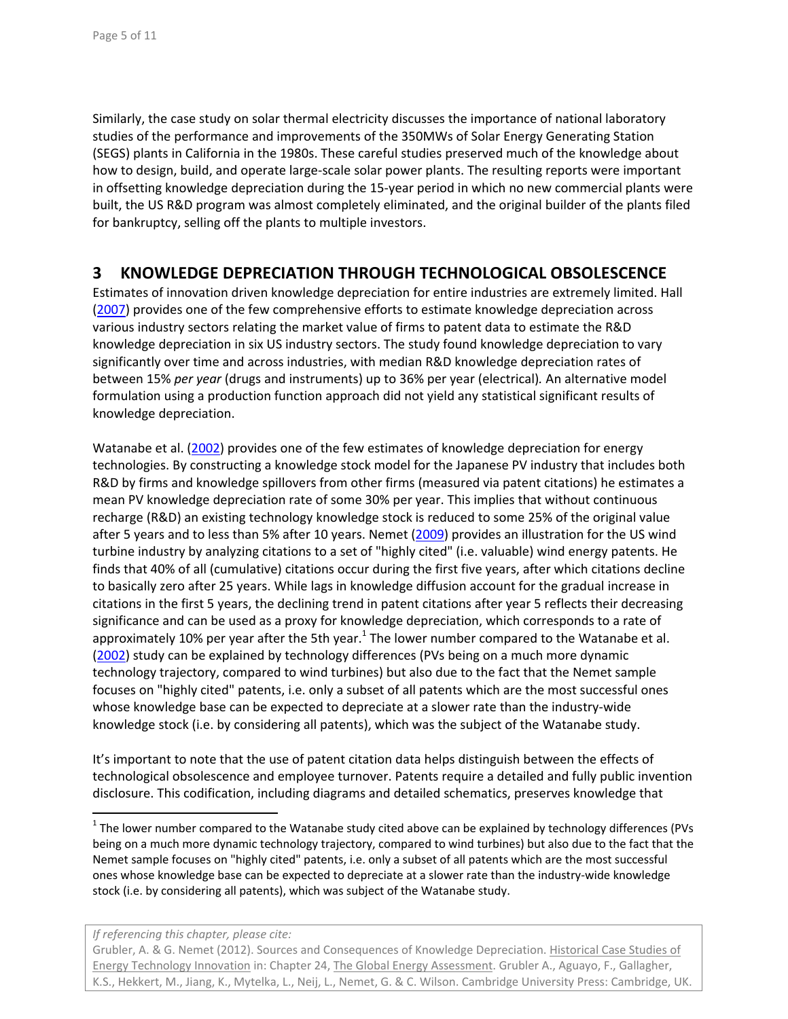Similarly, the case study on solar thermal electricity discusses the importance of national laboratory studies of the performance and improvements of the 350MWs of Solar Energy Generating Station (SEGS) plants in California in the 1980s. These careful studies preserved much of the knowledge about how to design, build, and operate large‐scale solar power plants. The resulting reports were important in offsetting knowledge depreciation during the 15‐year period in which no new commercial plants were built, the US R&D program was almost completely eliminated, and the original builder of the plants filed for bankruptcy, selling off the plants to multiple investors.

### **3 KNOWLEDGE DEPRECIATION THROUGH TECHNOLOGICAL OBSOLESCENCE**

Estimates of innovation driven knowledge depreciation for entire industries are extremely limited. Hall (2007) provides one of the few comprehensive efforts to estimate knowledge depreciation across various industry sectors relating the market value of firms to patent data to estimate the R&D knowledge depreciation in six US industry sectors. The study found knowledge depreciation to vary significantly over time and across industries, with median R&D knowledge depreciation rates of between 15% *per year* (drugs and instruments) up to 36% per year (electrical)*.* An alternative model formulation using a production function approach did not yield any statistical significant results of knowledge depreciation.

Watanabe et al. (2002) provides one of the few estimates of knowledge depreciation for energy technologies. By constructing a knowledge stock model for the Japanese PV industry that includes both R&D by firms and knowledge spillovers from other firms (measured via patent citations) he estimates a mean PV knowledge depreciation rate of some 30% per year. This implies that without continuous recharge (R&D) an existing technology knowledge stock is reduced to some 25% of the original value after 5 years and to less than 5% after 10 years. Nemet (2009) provides an illustration for the US wind turbine industry by analyzing citations to a set of "highly cited" (i.e. valuable) wind energy patents. He finds that 40% of all (cumulative) citations occur during the first five years, after which citations decline to basically zero after 25 years. While lags in knowledge diffusion account for the gradual increase in citations in the first 5 years, the declining trend in patent citations after year 5 reflects their decreasing significance and can be used as a proxy for knowledge depreciation, which corresponds to a rate of approximately 10% per year after the 5th year.<sup>1</sup> The lower number compared to the Watanabe et al. (2002) study can be explained by technology differences (PVs being on a much more dynamic technology trajectory, compared to wind turbines) but also due to the fact that the Nemet sample focuses on "highly cited" patents, i.e. only a subset of all patents which are the most successful ones whose knowledge base can be expected to depreciate at a slower rate than the industry‐wide knowledge stock (i.e. by considering all patents), which was the subject of the Watanabe study.

It's important to note that the use of patent citation data helps distinguish between the effects of technological obsolescence and employee turnover. Patents require a detailed and fully public invention disclosure. This codification, including diagrams and detailed schematics, preserves knowledge that

*If referencing this chapter, please cite:*

 $1$  The lower number compared to the Watanabe study cited above can be explained by technology differences (PVs being on a much more dynamic technology trajectory, compared to wind turbines) but also due to the fact that the Nemet sample focuses on "highly cited" patents, i.e. only a subset of all patents which are the most successful ones whose knowledge base can be expected to depreciate at a slower rate than the industry‐wide knowledge stock (i.e. by considering all patents), which was subject of the Watanabe study.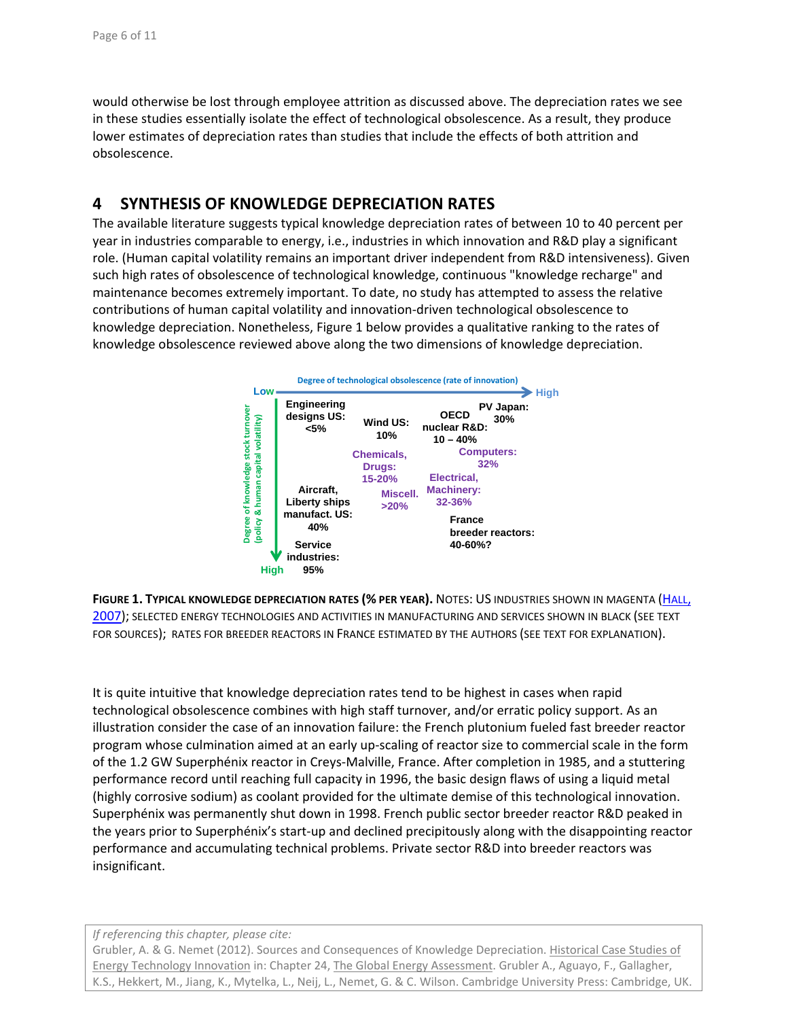would otherwise be lost through employee attrition as discussed above. The depreciation rates we see in these studies essentially isolate the effect of technological obsolescence. As a result, they produce lower estimates of depreciation rates than studies that include the effects of both attrition and obsolescence.

# **4 SYNTHESIS OF KNOWLEDGE DEPRECIATION RATES**

The available literature suggests typical knowledge depreciation rates of between 10 to 40 percent per year in industries comparable to energy, i.e., industries in which innovation and R&D play a significant role. (Human capital volatility remains an important driver independent from R&D intensiveness). Given such high rates of obsolescence of technological knowledge, continuous "knowledge recharge" and maintenance becomes extremely important. To date, no study has attempted to assess the relative contributions of human capital volatility and innovation‐driven technological obsolescence to knowledge depreciation. Nonetheless, Figure 1 below provides a qualitative ranking to the rates of knowledge obsolescence reviewed above along the two dimensions of knowledge depreciation.



**FIGURE 1. TYPICAL KNOWLEDGE DEPRECIATION RATES (% PER YEAR).** NOTES: US INDUSTRIES SHOWN IN MAGENTA (HALL, 2007); SELECTED ENERGY TECHNOLOGIES AND ACTIVITIES IN MANUFACTURING AND SERVICES SHOWN IN BLACK (SEE TEXT FOR SOURCES); RATES FOR BREEDER REACTORS IN FRANCE ESTIMATED BY THE AUTHORS (SEE TEXT FOR EXPLANATION).

It is quite intuitive that knowledge depreciation rates tend to be highest in cases when rapid technological obsolescence combines with high staff turnover, and/or erratic policy support. As an illustration consider the case of an innovation failure: the French plutonium fueled fast breeder reactor program whose culmination aimed at an early up‐scaling of reactor size to commercial scale in the form of the 1.2 GW Superphénix reactor in Creys‐Malville, France. After completion in 1985, and a stuttering performance record until reaching full capacity in 1996, the basic design flaws of using a liquid metal (highly corrosive sodium) as coolant provided for the ultimate demise of this technological innovation. Superphénix was permanently shut down in 1998. French public sector breeder reactor R&D peaked in the years prior to Superphénix's start‐up and declined precipitously along with the disappointing reactor performance and accumulating technical problems. Private sector R&D into breeder reactors was insignificant.

### *If referencing this chapter, please cite:*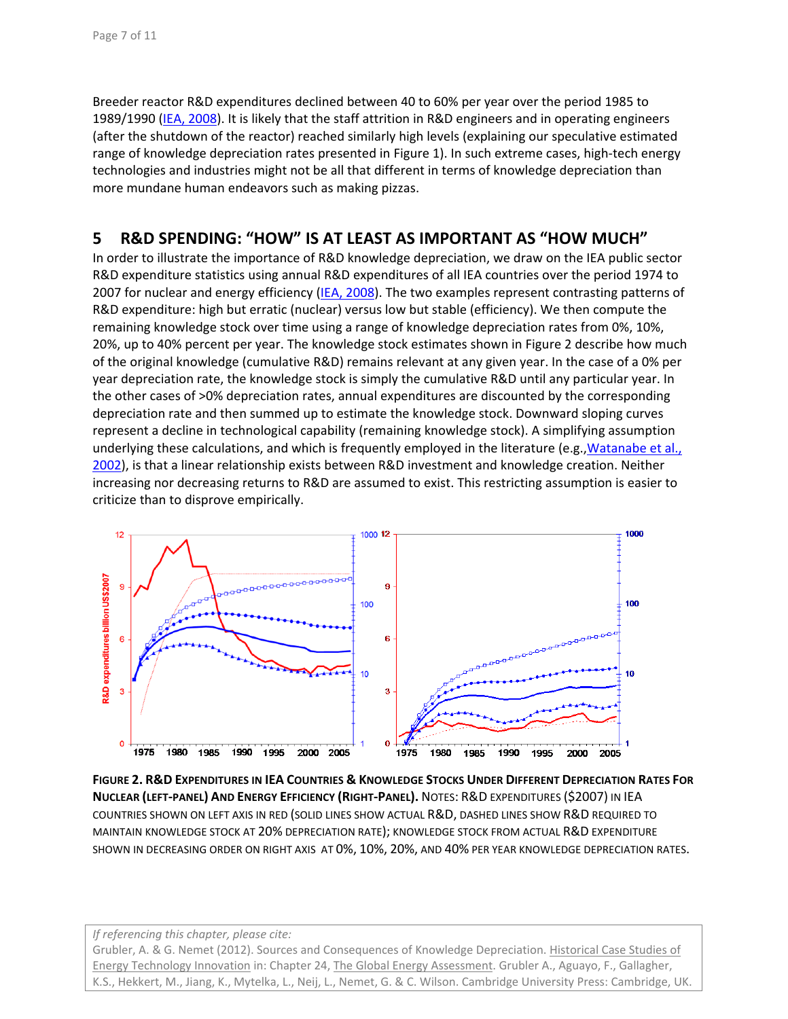Breeder reactor R&D expenditures declined between 40 to 60% per year over the period 1985 to 1989/1990 (IEA, 2008). It is likely that the staff attrition in R&D engineers and in operating engineers (after the shutdown of the reactor) reached similarly high levels (explaining our speculative estimated range of knowledge depreciation rates presented in Figure 1). In such extreme cases, high‐tech energy technologies and industries might not be all that different in terms of knowledge depreciation than more mundane human endeavors such as making pizzas.

# **5 R&D SPENDING: "HOW" IS AT LEAST AS IMPORTANT AS "HOW MUCH"**

In order to illustrate the importance of R&D knowledge depreciation, we draw on the IEA public sector R&D expenditure statistics using annual R&D expenditures of all IEA countries over the period 1974 to 2007 for nuclear and energy efficiency (IEA, 2008). The two examples represent contrasting patterns of R&D expenditure: high but erratic (nuclear) versus low but stable (efficiency). We then compute the remaining knowledge stock over time using a range of knowledge depreciation rates from 0%, 10%, 20%, up to 40% percent per year. The knowledge stock estimates shown in Figure 2 describe how much of the original knowledge (cumulative R&D) remains relevant at any given year. In the case of a 0% per year depreciation rate, the knowledge stock is simply the cumulative R&D until any particular year. In the other cases of >0% depreciation rates, annual expenditures are discounted by the corresponding depreciation rate and then summed up to estimate the knowledge stock. Downward sloping curves represent a decline in technological capability (remaining knowledge stock). A simplifying assumption underlying these calculations, and which is frequently employed in the literature (e.g., Watanabe et al., 2002), is that a linear relationship exists between R&D investment and knowledge creation. Neither increasing nor decreasing returns to R&D are assumed to exist. This restricting assumption is easier to criticize than to disprove empirically.



**FIGURE 2. R&D EXPENDITURES IN IEA COUNTRIES & KNOWLEDGE STOCKS UNDER DIFFERENT DEPRECIATION RATES FOR NUCLEAR (LEFT‐PANEL) AND ENERGY EFFICIENCY (RIGHT‐PANEL).** NOTES: R&D EXPENDITURES (\$2007) IN IEA COUNTRIES SHOWN ON LEFT AXIS IN RED (SOLID LINES SHOW ACTUAL R&D, DASHED LINES SHOW R&D REQUIRED TO MAINTAIN KNOWLEDGE STOCK AT 20% DEPRECIATION RATE); KNOWLEDGE STOCK FROM ACTUAL R&D EXPENDITURE SHOWN IN DECREASING ORDER ON RIGHT AXIS AT 0%, 10%, 20%, AND 40% PER YEAR KNOWLEDGE DEPRECIATION RATES.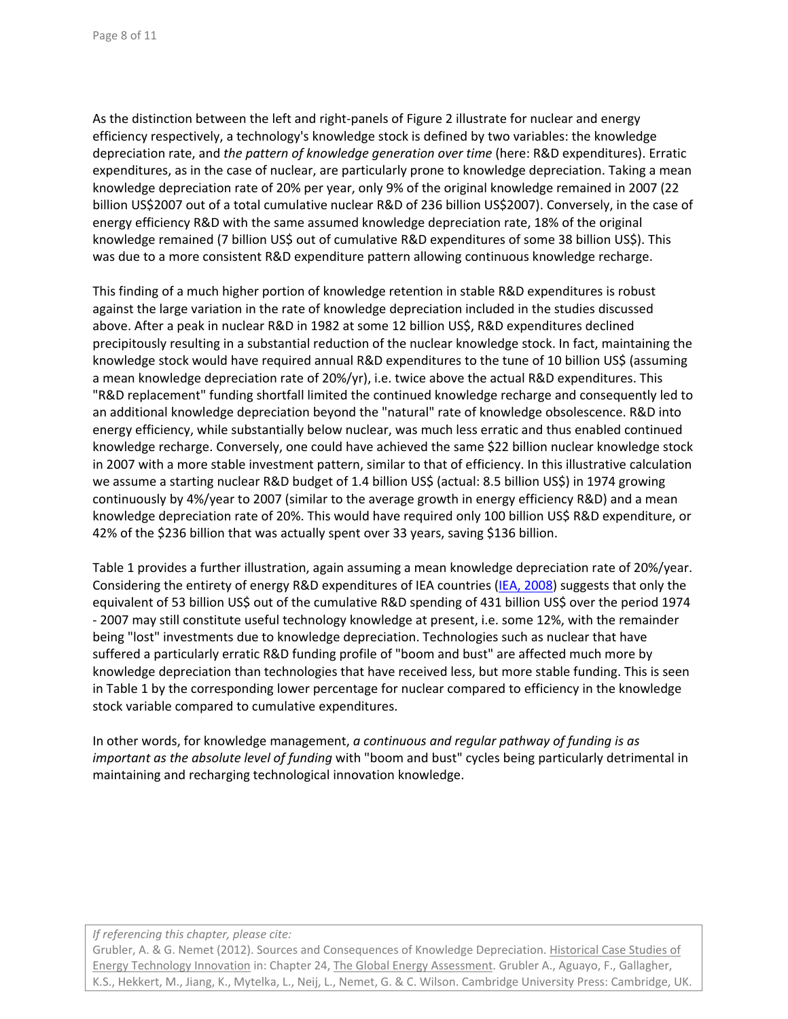As the distinction between the left and right-panels of Figure 2 illustrate for nuclear and energy efficiency respectively, a technology's knowledge stock is defined by two variables: the knowledge depreciation rate, and *the pattern of knowledge generation over time* (here: R&D expenditures). Erratic expenditures, as in the case of nuclear, are particularly prone to knowledge depreciation. Taking a mean knowledge depreciation rate of 20% per year, only 9% of the original knowledge remained in 2007 (22 billion US\$2007 out of a total cumulative nuclear R&D of 236 billion US\$2007). Conversely, in the case of energy efficiency R&D with the same assumed knowledge depreciation rate, 18% of the original knowledge remained (7 billion US\$ out of cumulative R&D expenditures of some 38 billion US\$). This was due to a more consistent R&D expenditure pattern allowing continuous knowledge recharge.

This finding of a much higher portion of knowledge retention in stable R&D expenditures is robust against the large variation in the rate of knowledge depreciation included in the studies discussed above. After a peak in nuclear R&D in 1982 at some 12 billion US\$, R&D expenditures declined precipitously resulting in a substantial reduction of the nuclear knowledge stock. In fact, maintaining the knowledge stock would have required annual R&D expenditures to the tune of 10 billion US\$ (assuming a mean knowledge depreciation rate of 20%/yr), i.e. twice above the actual R&D expenditures. This "R&D replacement" funding shortfall limited the continued knowledge recharge and consequently led to an additional knowledge depreciation beyond the "natural" rate of knowledge obsolescence. R&D into energy efficiency, while substantially below nuclear, was much less erratic and thus enabled continued knowledge recharge. Conversely, one could have achieved the same \$22 billion nuclear knowledge stock in 2007 with a more stable investment pattern, similar to that of efficiency. In this illustrative calculation we assume a starting nuclear R&D budget of 1.4 billion US\$ (actual: 8.5 billion US\$) in 1974 growing continuously by 4%/year to 2007 (similar to the average growth in energy efficiency R&D) and a mean knowledge depreciation rate of 20%. This would have required only 100 billion US\$ R&D expenditure, or 42% of the \$236 billion that was actually spent over 33 years, saving \$136 billion.

Table 1 provides a further illustration, again assuming a mean knowledge depreciation rate of 20%/year. Considering the entirety of energy R&D expenditures of IEA countries (IEA, 2008) suggests that only the equivalent of 53 billion US\$ out of the cumulative R&D spending of 431 billion US\$ over the period 1974 ‐ 2007 may still constitute useful technology knowledge at present, i.e. some 12%, with the remainder being "lost" investments due to knowledge depreciation. Technologies such as nuclear that have suffered a particularly erratic R&D funding profile of "boom and bust" are affected much more by knowledge depreciation than technologies that have received less, but more stable funding. This is seen in Table 1 by the corresponding lower percentage for nuclear compared to efficiency in the knowledge stock variable compared to cumulative expenditures.

In other words, for knowledge management, *a continuous and regular pathway of funding is as important as the absolute level of funding* with "boom and bust" cycles being particularly detrimental in maintaining and recharging technological innovation knowledge.

### *If referencing this chapter, please cite:*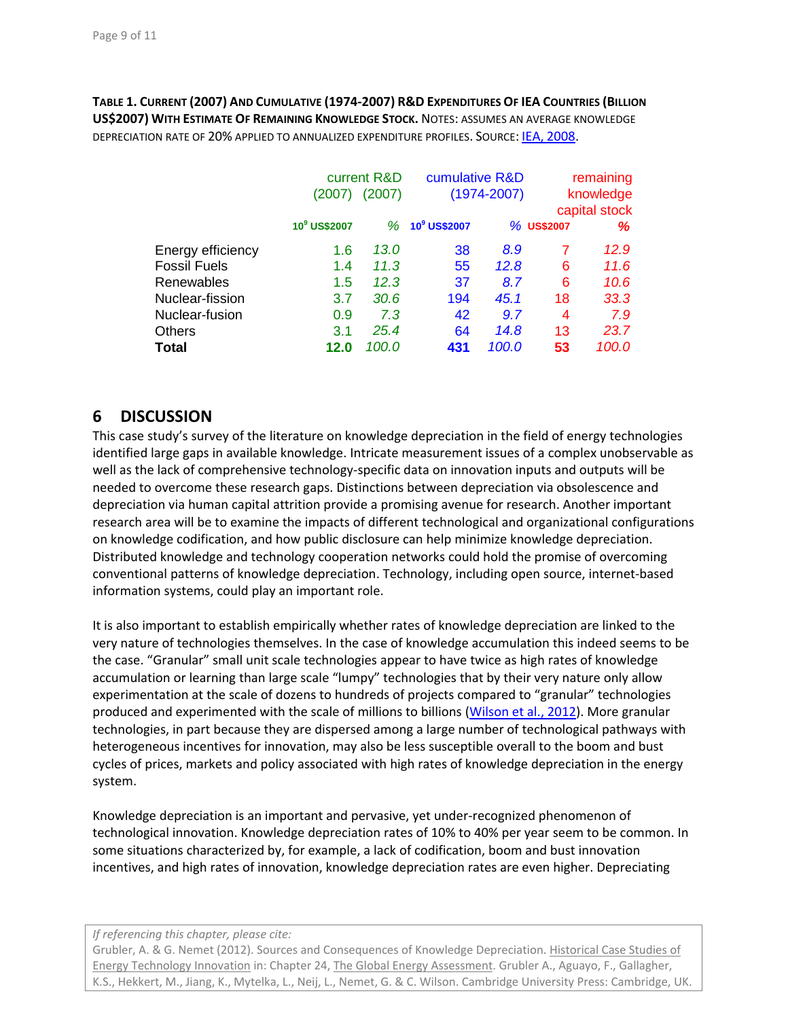**TABLE 1. CURRENT (2007) AND CUMULATIVE (1974‐2007) R&D EXPENDITURES OF IEA COUNTRIES (BILLION US\$2007) WITH ESTIMATE OF REMAINING KNOWLEDGE STOCK.** NOTES: ASSUMES AN AVERAGE KNOWLEDGE DEPRECIATION RATE OF 20% APPLIED TO ANNUALIZED EXPENDITURE PROFILES. SOURCE: IEA, 2008.

|                     | current R&D              |        | cumulative R&D   |       | remaining     |       |
|---------------------|--------------------------|--------|------------------|-------|---------------|-------|
|                     | (2007)                   | (2007) | $(1974 - 2007)$  |       | knowledge     |       |
|                     |                          |        |                  |       | capital stock |       |
|                     | 10 <sup>9</sup> US\$2007 |        | $% 109$ US\$2007 |       | % US\$2007    | %     |
| Energy efficiency   | 1.6                      | 13.0   | 38               | 8.9   | 7             | 12.9  |
| <b>Fossil Fuels</b> | 1.4                      | 11.3   | 55               | 12.8  | 6             | 11.6  |
| Renewables          | 1.5                      | 12.3   | 37               | 8.7   | 6             | 10.6  |
| Nuclear-fission     | 3.7                      | 30.6   | 194              | 45.1  | 18            | 33.3  |
| Nuclear-fusion      | 0.9                      | 7.3    | 42               | 9.7   | 4             | 7.9   |
| <b>Others</b>       | 3.1                      | 25.4   | 64               | 14.8  | 13            | 23.7  |
| <b>Total</b>        | 12.0                     | 100.0  | 431              | 100.0 | 53            | 100.0 |

### **6 DISCUSSION**

This case study's survey of the literature on knowledge depreciation in the field of energy technologies identified large gaps in available knowledge. Intricate measurement issues of a complex unobservable as well as the lack of comprehensive technology-specific data on innovation inputs and outputs will be needed to overcome these research gaps. Distinctions between depreciation via obsolescence and depreciation via human capital attrition provide a promising avenue for research. Another important research area will be to examine the impacts of different technological and organizational configurations on knowledge codification, and how public disclosure can help minimize knowledge depreciation. Distributed knowledge and technology cooperation networks could hold the promise of overcoming conventional patterns of knowledge depreciation. Technology, including open source, internet‐based information systems, could play an important role.

It is also important to establish empirically whether rates of knowledge depreciation are linked to the very nature of technologies themselves. In the case of knowledge accumulation this indeed seems to be the case. "Granular" small unit scale technologies appear to have twice as high rates of knowledge accumulation or learning than large scale "lumpy" technologies that by their very nature only allow experimentation at the scale of dozens to hundreds of projects compared to "granular" technologies produced and experimented with the scale of millions to billions (Wilson et al., 2012). More granular technologies, in part because they are dispersed among a large number of technological pathways with heterogeneous incentives for innovation, may also be less susceptible overall to the boom and bust cycles of prices, markets and policy associated with high rates of knowledge depreciation in the energy system.

Knowledge depreciation is an important and pervasive, yet under‐recognized phenomenon of technological innovation. Knowledge depreciation rates of 10% to 40% per year seem to be common. In some situations characterized by, for example, a lack of codification, boom and bust innovation incentives, and high rates of innovation, knowledge depreciation rates are even higher. Depreciating

### *If referencing this chapter, please cite:*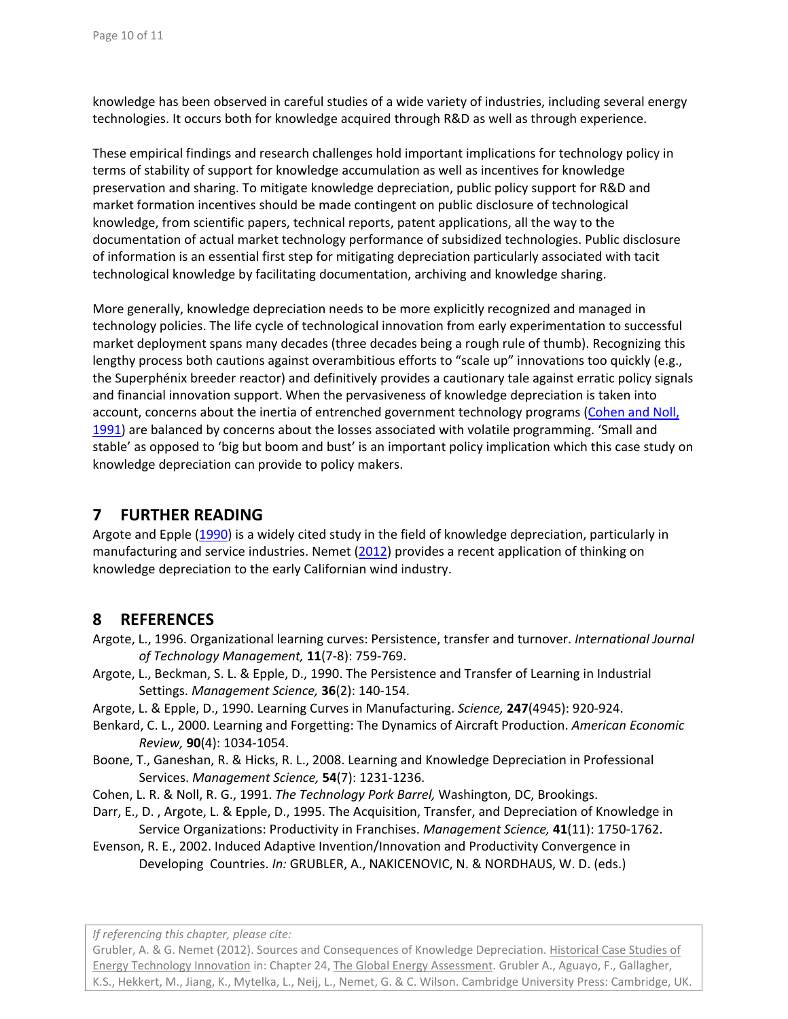knowledge has been observed in careful studies of a wide variety of industries, including several energy technologies. It occurs both for knowledge acquired through R&D as well as through experience.

These empirical findings and research challenges hold important implications for technology policy in terms of stability of support for knowledge accumulation as well as incentives for knowledge preservation and sharing. To mitigate knowledge depreciation, public policy support for R&D and market formation incentives should be made contingent on public disclosure of technological knowledge, from scientific papers, technical reports, patent applications, all the way to the documentation of actual market technology performance of subsidized technologies. Public disclosure of information is an essential first step for mitigating depreciation particularly associated with tacit technological knowledge by facilitating documentation, archiving and knowledge sharing.

More generally, knowledge depreciation needs to be more explicitly recognized and managed in technology policies. The life cycle of technological innovation from early experimentation to successful market deployment spans many decades (three decades being a rough rule of thumb). Recognizing this lengthy process both cautions against overambitious efforts to "scale up" innovations too quickly (e.g., the Superphénix breeder reactor) and definitively provides a cautionary tale against erratic policy signals and financial innovation support. When the pervasiveness of knowledge depreciation is taken into account, concerns about the inertia of entrenched government technology programs (Cohen and Noll, 1991) are balanced by concerns about the losses associated with volatile programming. 'Small and stable' as opposed to 'big but boom and bust' is an important policy implication which this case study on knowledge depreciation can provide to policy makers.

# **7 FURTHER READING**

Argote and Epple (1990) is a widely cited study in the field of knowledge depreciation, particularly in manufacturing and service industries. Nemet (2012) provides a recent application of thinking on knowledge depreciation to the early Californian wind industry.

# **8 REFERENCES**

Argote, L., 1996. Organizational learning curves: Persistence, transfer and turnover. *International Journal of Technology Management,* **11**(7‐8): 759‐769.

- Argote, L., Beckman, S. L. & Epple, D., 1990. The Persistence and Transfer of Learning in Industrial Settings. *Management Science,* **36**(2): 140‐154.
- Argote, L. & Epple, D., 1990. Learning Curves in Manufacturing. *Science,* **247**(4945): 920‐924.
- Benkard, C. L., 2000. Learning and Forgetting: The Dynamics of Aircraft Production. *American Economic Review,* **90**(4): 1034‐1054.
- Boone, T., Ganeshan, R. & Hicks, R. L., 2008. Learning and Knowledge Depreciation in Professional Services. *Management Science,* **54**(7): 1231‐1236.
- Cohen, L. R. & Noll, R. G., 1991. *The Technology Pork Barrel,* Washington, DC, Brookings.
- Darr, E., D. , Argote, L. & Epple, D., 1995. The Acquisition, Transfer, and Depreciation of Knowledge in Service Organizations: Productivity in Franchises. *Management Science,* **41**(11): 1750‐1762.
- Evenson, R. E., 2002. Induced Adaptive Invention/Innovation and Productivity Convergence in Developing Countries. *In:* GRUBLER, A., NAKICENOVIC, N. & NORDHAUS, W. D. (eds.)

*If referencing this chapter, please cite:*